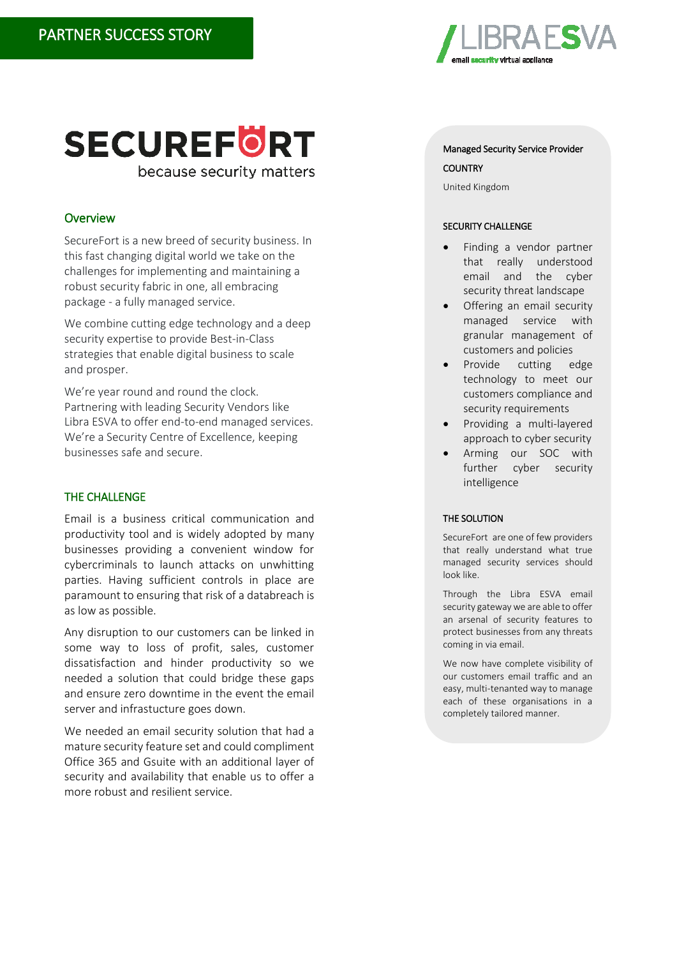

# **SECUREFORT** because security matters

# **Overview**

SecureFort is a new breed of security business. In this fast changing digital world we take on the challenges for implementing and maintaining a robust security fabric in one, all embracing package - a fully managed service.

We combine cutting edge technology and a deep security expertise to provide Best-in-Class strategies that enable digital business to scale and prosper.

We're year round and round the clock. Partnering with leading Security Vendors like Libra ESVA to offer end-to-end managed services. We're a Security Centre of Excellence, keeping businesses safe and secure.

## THE CHALLENGE

Email is a business critical communication and productivity tool and is widely adopted by many businesses providing a convenient window for cybercriminals to launch attacks on unwhitting parties. Having sufficient controls in place are paramount to ensuring that risk of a databreach is as low as possible.

Any disruption to our customers can be linked in some way to loss of profit, sales, customer dissatisfaction and hinder productivity so we needed a solution that could bridge these gaps and ensure zero downtime in the event the email server and infrastucture goes down.

We needed an email security solution that had a mature security feature set and could compliment Office 365 and Gsuite with an additional layer of security and availability that enable us to offer a more robust and resilient service.

## Managed Security Service Provider **COUNTRY**

United Kingdom

## SECURITY CHALLENGE

- Finding a vendor partner that really understood email and the cyber security threat landscape
- Offering an email security managed service with granular management of customers and policies
- Provide cutting edge technology to meet our customers compliance and security requirements
- Providing a multi-layered approach to cyber security
- Arming our SOC with further cyber security intelligence

## THE SOLUTION

SecureFort are one of few providers that really understand what true managed security services should look like.

Through the Libra ESVA email security gateway we are able to offer an arsenal of security features to protect businesses from any threats coming in via email.

We now have complete visibility of our customers email traffic and an easy, multi-tenanted way to manage each of these organisations in a completely tailored manner.